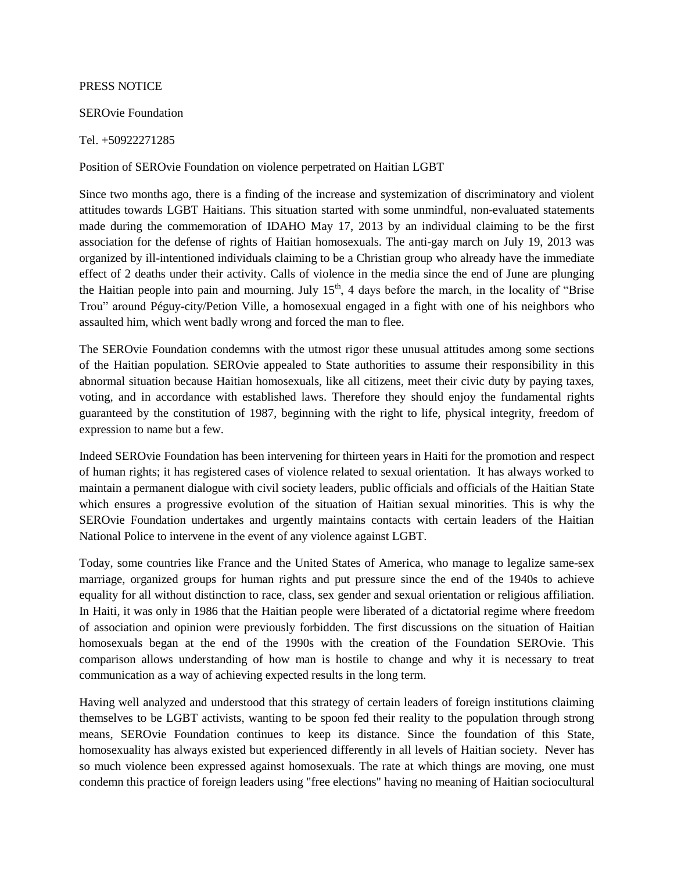## PRESS NOTICE

## SEROvie Foundation

## Tel. +50922271285

## Position of SEROvie Foundation on violence perpetrated on Haitian LGBT

Since two months ago, there is a finding of the increase and systemization of discriminatory and violent attitudes towards LGBT Haitians. This situation started with some unmindful, non-evaluated statements made during the commemoration of IDAHO May 17, 2013 by an individual claiming to be the first association for the defense of rights of Haitian homosexuals. The anti-gay march on July 19, 2013 was organized by ill-intentioned individuals claiming to be a Christian group who already have the immediate effect of 2 deaths under their activity. Calls of violence in the media since the end of June are plunging the Haitian people into pain and mourning. July  $15<sup>th</sup>$ , 4 days before the march, in the locality of "Brise" Trou" around Péguy-city/Petion Ville, a homosexual engaged in a fight with one of his neighbors who assaulted him, which went badly wrong and forced the man to flee.

The SEROvie Foundation condemns with the utmost rigor these unusual attitudes among some sections of the Haitian population. SEROvie appealed to State authorities to assume their responsibility in this abnormal situation because Haitian homosexuals, like all citizens, meet their civic duty by paying taxes, voting, and in accordance with established laws. Therefore they should enjoy the fundamental rights guaranteed by the constitution of 1987, beginning with the right to life, physical integrity, freedom of expression to name but a few.

Indeed SEROvie Foundation has been intervening for thirteen years in Haiti for the promotion and respect of human rights; it has registered cases of violence related to sexual orientation. It has always worked to maintain a permanent dialogue with civil society leaders, public officials and officials of the Haitian State which ensures a progressive evolution of the situation of Haitian sexual minorities. This is why the SEROvie Foundation undertakes and urgently maintains contacts with certain leaders of the Haitian National Police to intervene in the event of any violence against LGBT.

Today, some countries like France and the United States of America, who manage to legalize same-sex marriage, organized groups for human rights and put pressure since the end of the 1940s to achieve equality for all without distinction to race, class, sex gender and sexual orientation or religious affiliation. In Haiti, it was only in 1986 that the Haitian people were liberated of a dictatorial regime where freedom of association and opinion were previously forbidden. The first discussions on the situation of Haitian homosexuals began at the end of the 1990s with the creation of the Foundation SEROvie. This comparison allows understanding of how man is hostile to change and why it is necessary to treat communication as a way of achieving expected results in the long term.

Having well analyzed and understood that this strategy of certain leaders of foreign institutions claiming themselves to be LGBT activists, wanting to be spoon fed their reality to the population through strong means, SEROvie Foundation continues to keep its distance. Since the foundation of this State, homosexuality has always existed but experienced differently in all levels of Haitian society. Never has so much violence been expressed against homosexuals. The rate at which things are moving, one must condemn this practice of foreign leaders using "free elections" having no meaning of Haitian sociocultural